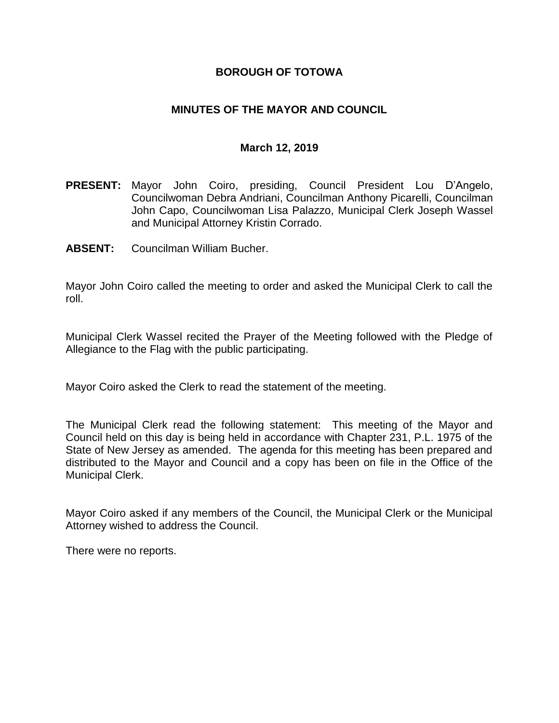### **BOROUGH OF TOTOWA**

### **MINUTES OF THE MAYOR AND COUNCIL**

#### **March 12, 2019**

- **PRESENT:** Mayor John Coiro, presiding, Council President Lou D'Angelo, Councilwoman Debra Andriani, Councilman Anthony Picarelli, Councilman John Capo, Councilwoman Lisa Palazzo, Municipal Clerk Joseph Wassel and Municipal Attorney Kristin Corrado.
- **ABSENT:** Councilman William Bucher.

Mayor John Coiro called the meeting to order and asked the Municipal Clerk to call the roll.

Municipal Clerk Wassel recited the Prayer of the Meeting followed with the Pledge of Allegiance to the Flag with the public participating.

Mayor Coiro asked the Clerk to read the statement of the meeting.

The Municipal Clerk read the following statement: This meeting of the Mayor and Council held on this day is being held in accordance with Chapter 231, P.L. 1975 of the State of New Jersey as amended. The agenda for this meeting has been prepared and distributed to the Mayor and Council and a copy has been on file in the Office of the Municipal Clerk.

Mayor Coiro asked if any members of the Council, the Municipal Clerk or the Municipal Attorney wished to address the Council.

There were no reports.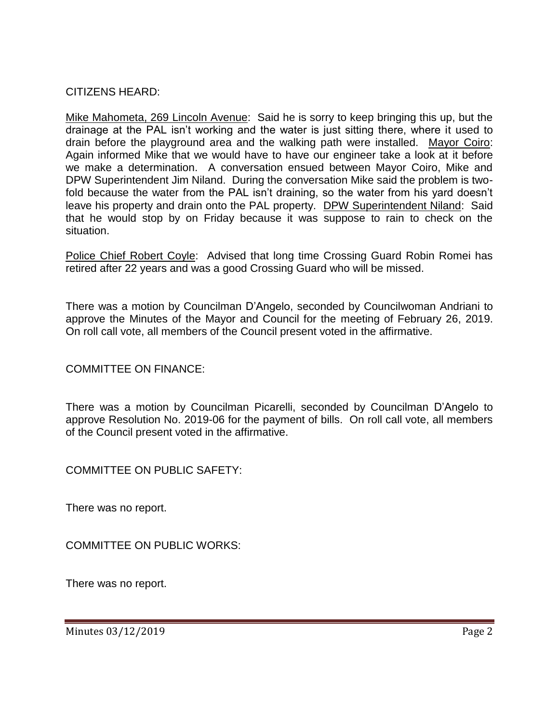## CITIZENS HEARD:

Mike Mahometa, 269 Lincoln Avenue: Said he is sorry to keep bringing this up, but the drainage at the PAL isn't working and the water is just sitting there, where it used to drain before the playground area and the walking path were installed. Mayor Coiro: Again informed Mike that we would have to have our engineer take a look at it before we make a determination. A conversation ensued between Mayor Coiro, Mike and DPW Superintendent Jim Niland. During the conversation Mike said the problem is twofold because the water from the PAL isn't draining, so the water from his yard doesn't leave his property and drain onto the PAL property. DPW Superintendent Niland: Said that he would stop by on Friday because it was suppose to rain to check on the situation.

Police Chief Robert Coyle: Advised that long time Crossing Guard Robin Romei has retired after 22 years and was a good Crossing Guard who will be missed.

There was a motion by Councilman D'Angelo, seconded by Councilwoman Andriani to approve the Minutes of the Mayor and Council for the meeting of February 26, 2019. On roll call vote, all members of the Council present voted in the affirmative.

COMMITTEE ON FINANCE:

There was a motion by Councilman Picarelli, seconded by Councilman D'Angelo to approve Resolution No. 2019-06 for the payment of bills. On roll call vote, all members of the Council present voted in the affirmative.

COMMITTEE ON PUBLIC SAFETY:

There was no report.

COMMITTEE ON PUBLIC WORKS:

There was no report.

Minutes 03/12/2019 Page 2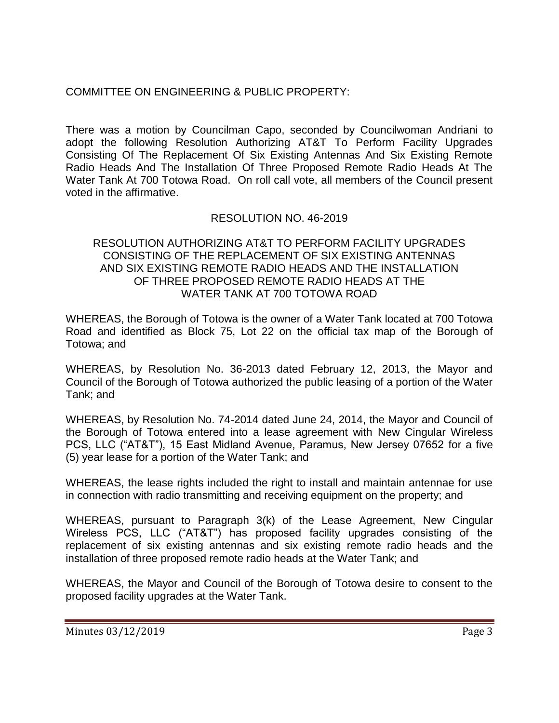# COMMITTEE ON ENGINEERING & PUBLIC PROPERTY:

There was a motion by Councilman Capo, seconded by Councilwoman Andriani to adopt the following Resolution Authorizing AT&T To Perform Facility Upgrades Consisting Of The Replacement Of Six Existing Antennas And Six Existing Remote Radio Heads And The Installation Of Three Proposed Remote Radio Heads At The Water Tank At 700 Totowa Road. On roll call vote, all members of the Council present voted in the affirmative.

## RESOLUTION NO. 46-2019

#### RESOLUTION AUTHORIZING AT&T TO PERFORM FACILITY UPGRADES CONSISTING OF THE REPLACEMENT OF SIX EXISTING ANTENNAS AND SIX EXISTING REMOTE RADIO HEADS AND THE INSTALLATION OF THREE PROPOSED REMOTE RADIO HEADS AT THE WATER TANK AT 700 TOTOWA ROAD

WHEREAS, the Borough of Totowa is the owner of a Water Tank located at 700 Totowa Road and identified as Block 75, Lot 22 on the official tax map of the Borough of Totowa; and

WHEREAS, by Resolution No. 36-2013 dated February 12, 2013, the Mayor and Council of the Borough of Totowa authorized the public leasing of a portion of the Water Tank; and

WHEREAS, by Resolution No. 74-2014 dated June 24, 2014, the Mayor and Council of the Borough of Totowa entered into a lease agreement with New Cingular Wireless PCS, LLC ("AT&T"), 15 East Midland Avenue, Paramus, New Jersey 07652 for a five (5) year lease for a portion of the Water Tank; and

WHEREAS, the lease rights included the right to install and maintain antennae for use in connection with radio transmitting and receiving equipment on the property; and

WHEREAS, pursuant to Paragraph 3(k) of the Lease Agreement, New Cingular Wireless PCS, LLC ("AT&T") has proposed facility upgrades consisting of the replacement of six existing antennas and six existing remote radio heads and the installation of three proposed remote radio heads at the Water Tank; and

WHEREAS, the Mayor and Council of the Borough of Totowa desire to consent to the proposed facility upgrades at the Water Tank.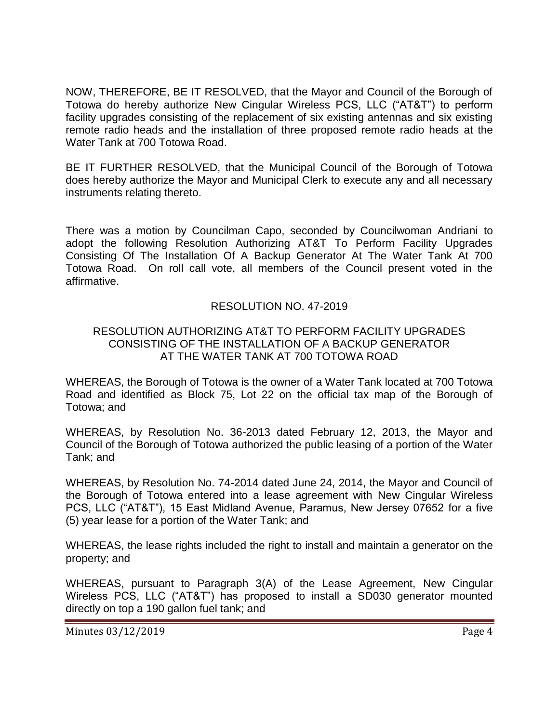NOW, THEREFORE, BE IT RESOLVED, that the Mayor and Council of the Borough of Totowa do hereby authorize New Cingular Wireless PCS, LLC ("AT&T") to perform facility upgrades consisting of the replacement of six existing antennas and six existing remote radio heads and the installation of three proposed remote radio heads at the Water Tank at 700 Totowa Road.

BE IT FURTHER RESOLVED, that the Municipal Council of the Borough of Totowa does hereby authorize the Mayor and Municipal Clerk to execute any and all necessary instruments relating thereto.

There was a motion by Councilman Capo, seconded by Councilwoman Andriani to adopt the following Resolution Authorizing AT&T To Perform Facility Upgrades Consisting Of The Installation Of A Backup Generator At The Water Tank At 700 Totowa Road. On roll call vote, all members of the Council present voted in the affirmative.

## RESOLUTION NO. 47-2019

#### RESOLUTION AUTHORIZING AT&T TO PERFORM FACILITY UPGRADES CONSISTING OF THE INSTALLATION OF A BACKUP GENERATOR AT THE WATER TANK AT 700 TOTOWA ROAD

WHEREAS, the Borough of Totowa is the owner of a Water Tank located at 700 Totowa Road and identified as Block 75, Lot 22 on the official tax map of the Borough of Totowa; and

WHEREAS, by Resolution No. 36-2013 dated February 12, 2013, the Mayor and Council of the Borough of Totowa authorized the public leasing of a portion of the Water Tank; and

WHEREAS, by Resolution No. 74-2014 dated June 24, 2014, the Mayor and Council of the Borough of Totowa entered into a lease agreement with New Cingular Wireless PCS, LLC ("AT&T"), 15 East Midland Avenue, Paramus, New Jersey 07652 for a five (5) year lease for a portion of the Water Tank; and

WHEREAS, the lease rights included the right to install and maintain a generator on the property; and

WHEREAS, pursuant to Paragraph 3(A) of the Lease Agreement, New Cingular Wireless PCS, LLC ("AT&T") has proposed to install a SD030 generator mounted directly on top a 190 gallon fuel tank; and

Minutes 03/12/2019 Page 4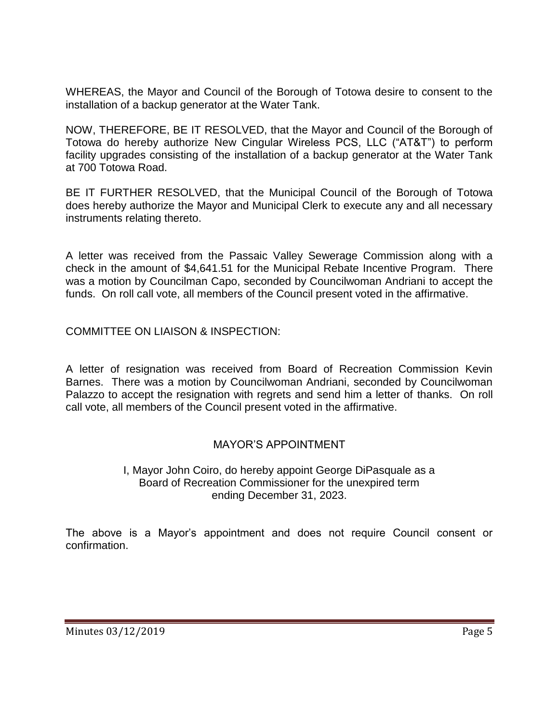WHEREAS, the Mayor and Council of the Borough of Totowa desire to consent to the installation of a backup generator at the Water Tank.

NOW, THEREFORE, BE IT RESOLVED, that the Mayor and Council of the Borough of Totowa do hereby authorize New Cingular Wireless PCS, LLC ("AT&T") to perform facility upgrades consisting of the installation of a backup generator at the Water Tank at 700 Totowa Road.

BE IT FURTHER RESOLVED, that the Municipal Council of the Borough of Totowa does hereby authorize the Mayor and Municipal Clerk to execute any and all necessary instruments relating thereto.

A letter was received from the Passaic Valley Sewerage Commission along with a check in the amount of \$4,641.51 for the Municipal Rebate Incentive Program. There was a motion by Councilman Capo, seconded by Councilwoman Andriani to accept the funds. On roll call vote, all members of the Council present voted in the affirmative.

COMMITTEE ON LIAISON & INSPECTION:

A letter of resignation was received from Board of Recreation Commission Kevin Barnes. There was a motion by Councilwoman Andriani, seconded by Councilwoman Palazzo to accept the resignation with regrets and send him a letter of thanks. On roll call vote, all members of the Council present voted in the affirmative.

## MAYOR'S APPOINTMENT

#### I, Mayor John Coiro, do hereby appoint George DiPasquale as a Board of Recreation Commissioner for the unexpired term ending December 31, 2023.

The above is a Mayor's appointment and does not require Council consent or confirmation.